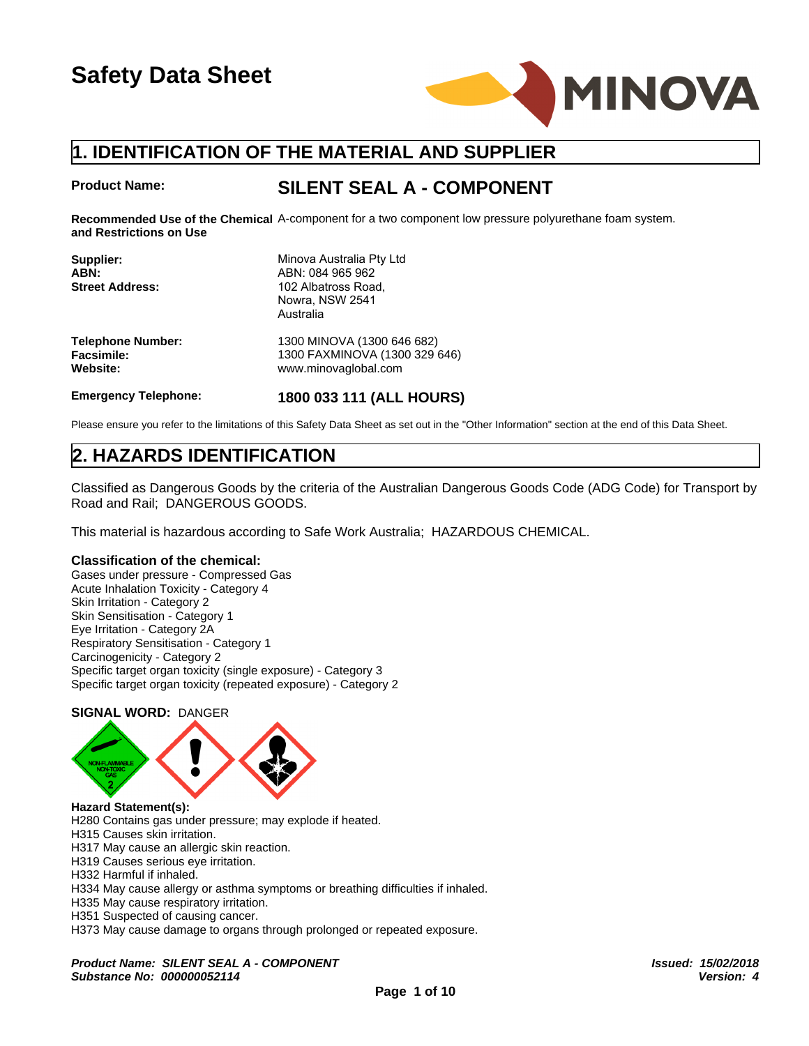

#### **Product Name:**

### **SILENT SEAL A - COMPONENT**

Recommended Use of the Chemical A-component for a two component low pressure polyurethane foam system. **and Restrictions on Use**

| <b>Product Name:</b>                                      | <b>SILENT SEAL A - COMPONENT</b>                                                                                   |
|-----------------------------------------------------------|--------------------------------------------------------------------------------------------------------------------|
| and Restrictions on Use                                   | Recommended Use of the Chemical A-component for a two component low pressure polyuretha                            |
| Supplier:<br>ABN:<br><b>Street Address:</b>               | Minova Australia Pty Ltd<br>ABN: 084 965 962<br>102 Albatross Road,<br>Nowra, NSW 2541<br>Australia                |
| <b>Telephone Number:</b><br><b>Facsimile:</b><br>Website: | 1300 MINOVA (1300 646 682)<br>1300 FAXMINOVA (1300 329 646)<br>www.minovaglobal.com                                |
| <b>Emergency Telephone:</b>                               | 1800 033 111 (ALL HOURS)                                                                                           |
|                                                           | Please ensure you refer to the limitations of this Safety Data Sheet as set out in the "Other Information" section |
| <b>2. HAZARDS IDENTIFICATION</b>                          |                                                                                                                    |
| Road and Rail; DANGEROUS GOODS.                           | Classified as Dangerous Goods by the criteria of the Australian Dangerous Goods Code                               |
|                                                           | This material is bazardous according to Safo Work Australia: UAZARDOLIS CHEMICAL                                   |

Please ensure you refer to the limitations of this Safety Data Sheet as set out in the "Other Information" section at the end of this Data Sheet.

Classified as Dangerous Goods by the criteria of the Australian Dangerous Goods Code (ADG Code) for Transport by Road and Rail; DANGEROUS GOODS.

This material is hazardous according to Safe Work Australia; HAZARDOUS CHEMICAL.

#### **Classification of the chemical:**

Gases under pressure - Compressed Gas Acute Inhalation Toxicity - Category 4 Skin Irritation - Category 2 Skin Sensitisation - Category 1 Eye Irritation - Category 2A Respiratory Sensitisation - Category 1 Carcinogenicity - Category 2 Specific target organ toxicity (single exposure) - Category 3 Specific target organ toxicity (repeated exposure) - Category 2

#### **SIGNAL WORD:** DANGER



**Hazard Statement(s):**

H280 Contains gas under pressure; may explode if heated.

- H315 Causes skin irritation.
- H317 May cause an allergic skin reaction.
- H319 Causes serious eye irritation.
- H332 Harmful if inhaled.
- H334 May cause allergy or asthma symptoms or breathing difficulties if inhaled.
- H335 May cause respiratory irritation.
- H351 Suspected of causing cancer.
- H373 May cause damage to organs through prolonged or repeated exposure.

*Product Name: SILENT SEAL A - COMPONENT Issued: 15/02/2018 Substance No: 000000052114*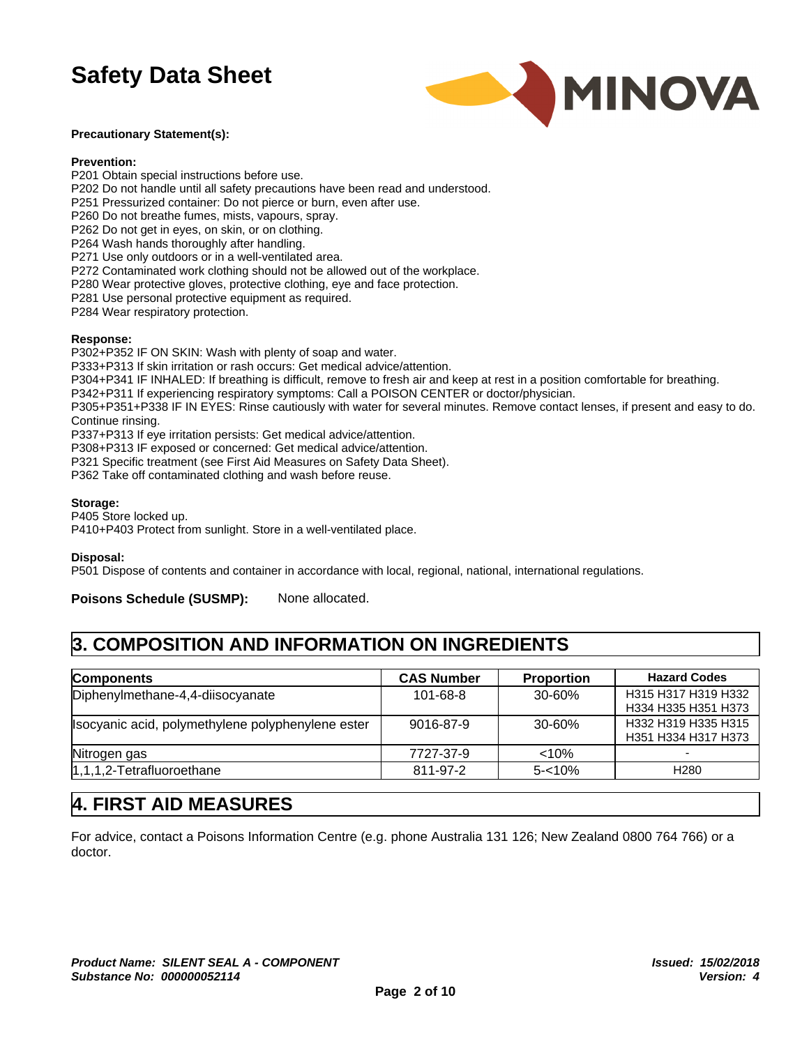

#### **Precautionary Statement(s):**

#### **Prevention:**

- P201 Obtain special instructions before use.
- P202 Do not handle until all safety precautions have been read and understood.
- P251 Pressurized container: Do not pierce or burn, even after use.
- P260 Do not breathe fumes, mists, vapours, spray.
- P262 Do not get in eyes, on skin, or on clothing.
- P264 Wash hands thoroughly after handling.
- P271 Use only outdoors or in a well-ventilated area.
- P272 Contaminated work clothing should not be allowed out of the workplace.
- P280 Wear protective gloves, protective clothing, eye and face protection.
- P281 Use personal protective equipment as required.

P284 Wear respiratory protection.

#### **Response:**

P302+P352 IF ON SKIN: Wash with plenty of soap and water.

P333+P313 If skin irritation or rash occurs: Get medical advice/attention.

P304+P341 IF INHALED: If breathing is difficult, remove to fresh air and keep at rest in a position comfortable for breathing.

P342+P311 If experiencing respiratory symptoms: Call a POISON CENTER or doctor/physician.

P305+P351+P338 IF IN EYES: Rinse cautiously with water for several minutes. Remove contact lenses, if present and easy to do. Continue rinsing.

P337+P313 If eye irritation persists: Get medical advice/attention.

P308+P313 IF exposed or concerned: Get medical advice/attention.

P321 Specific treatment (see First Aid Measures on Safety Data Sheet).

P362 Take off contaminated clothing and wash before reuse.

#### **Storage:**

P405 Store locked up. P410+P403 Protect from sunlight. Store in a well-ventilated place.

#### **Disposal:**

P501 Dispose of contents and container in accordance with local, regional, national, international regulations.

#### **Poisons Schedule (SUSMP):** None allocated.

### **3. COMPOSITION AND INFORMATION ON INGREDIENTS**

| <b>Components</b>                                 | <b>CAS Number</b> | <b>Proportion</b> | <b>Hazard Codes</b>                        |
|---------------------------------------------------|-------------------|-------------------|--------------------------------------------|
| Diphenylmethane-4,4-diisocyanate                  | $101 - 68 - 8$    | 30-60%            | H315 H317 H319 H332<br>H334 H335 H351 H373 |
| Isocyanic acid, polymethylene polyphenylene ester | 9016-87-9         | $30 - 60%$        | H332 H319 H335 H315<br>H351 H334 H317 H373 |
| Nitrogen gas                                      | 7727-37-9         | $< 10\%$          |                                            |
| $ 1,1,1,2$ -Tetrafluoroethane                     | 811-97-2          | $5 - 10%$         | H <sub>280</sub>                           |

### **4. FIRST AID MEASURES**

For advice, contact a Poisons Information Centre (e.g. phone Australia 131 126; New Zealand 0800 764 766) or a doctor.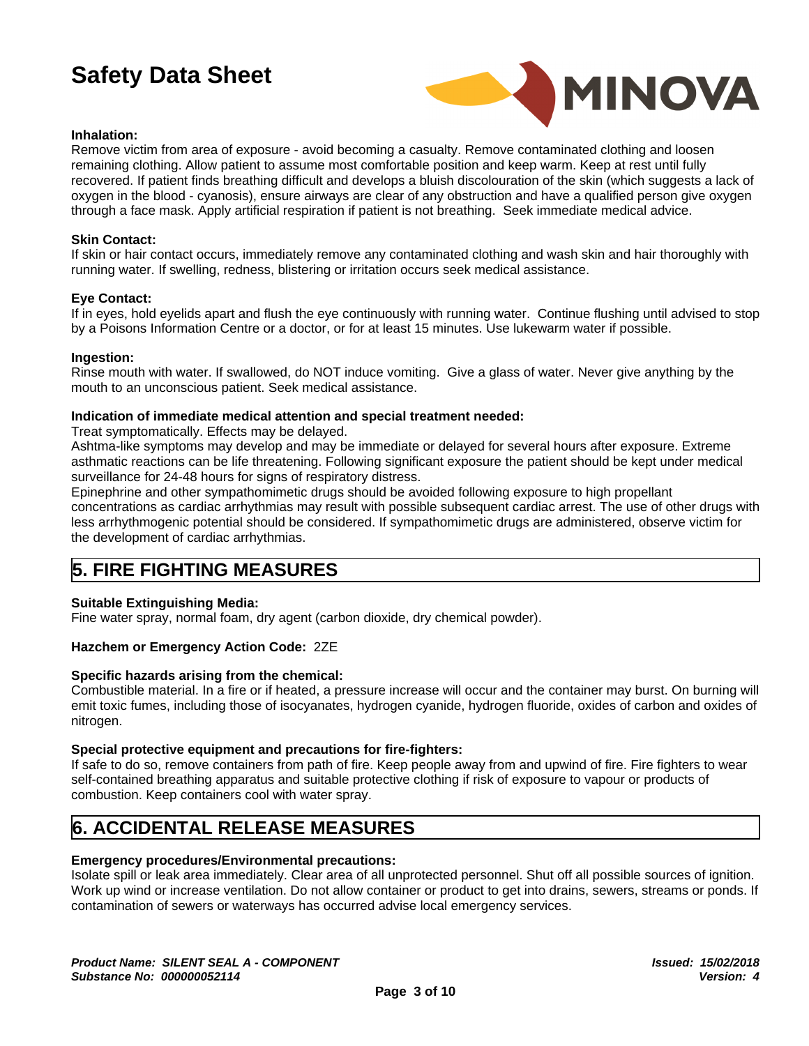

#### **Inhalation:**

Remove victim from area of exposure - avoid becoming a casualty. Remove contaminated clothing and loosen remaining clothing. Allow patient to assume most comfortable position and keep warm. Keep at rest until fully recovered. If patient finds breathing difficult and develops a bluish discolouration of the skin (which suggests a lack of oxygen in the blood - cyanosis), ensure airways are clear of any obstruction and have a qualified person give oxygen through a face mask. Apply artificial respiration if patient is not breathing. Seek immediate medical advice.

#### **Skin Contact:**

If skin or hair contact occurs, immediately remove any contaminated clothing and wash skin and hair thoroughly with running water. If swelling, redness, blistering or irritation occurs seek medical assistance.

#### **Eye Contact:**

If in eyes, hold eyelids apart and flush the eye continuously with running water. Continue flushing until advised to stop by a Poisons Information Centre or a doctor, or for at least 15 minutes. Use lukewarm water if possible.

#### **Ingestion:**

Rinse mouth with water. If swallowed, do NOT induce vomiting. Give a glass of water. Never give anything by the mouth to an unconscious patient. Seek medical assistance.

#### **Indication of immediate medical attention and special treatment needed:**

Treat symptomatically. Effects may be delayed.

Ashtma-like symptoms may develop and may be immediate or delayed for several hours after exposure. Extreme asthmatic reactions can be life threatening. Following significant exposure the patient should be kept under medical surveillance for 24-48 hours for signs of respiratory distress.

Epinephrine and other sympathomimetic drugs should be avoided following exposure to high propellant concentrations as cardiac arrhythmias may result with possible subsequent cardiac arrest. The use of other drugs with less arrhythmogenic potential should be considered. If sympathomimetic drugs are administered, observe victim for the development of cardiac arrhythmias.

### **5. FIRE FIGHTING MEASURES**

#### **Suitable Extinguishing Media:**

Fine water spray, normal foam, dry agent (carbon dioxide, dry chemical powder).

#### **Hazchem or Emergency Action Code:** 2ZE

#### **Specific hazards arising from the chemical:**

Combustible material. In a fire or if heated, a pressure increase will occur and the container may burst. On burning will emit toxic fumes, including those of isocyanates, hydrogen cyanide, hydrogen fluoride, oxides of carbon and oxides of nitrogen.

#### **Special protective equipment and precautions for fire-fighters:**

If safe to do so, remove containers from path of fire. Keep people away from and upwind of fire. Fire fighters to wear self-contained breathing apparatus and suitable protective clothing if risk of exposure to vapour or products of combustion. Keep containers cool with water spray.

### **6. ACCIDENTAL RELEASE MEASURES**

#### **Emergency procedures/Environmental precautions:**

Isolate spill or leak area immediately. Clear area of all unprotected personnel. Shut off all possible sources of ignition. Work up wind or increase ventilation. Do not allow container or product to get into drains, sewers, streams or ponds. If contamination of sewers or waterways has occurred advise local emergency services.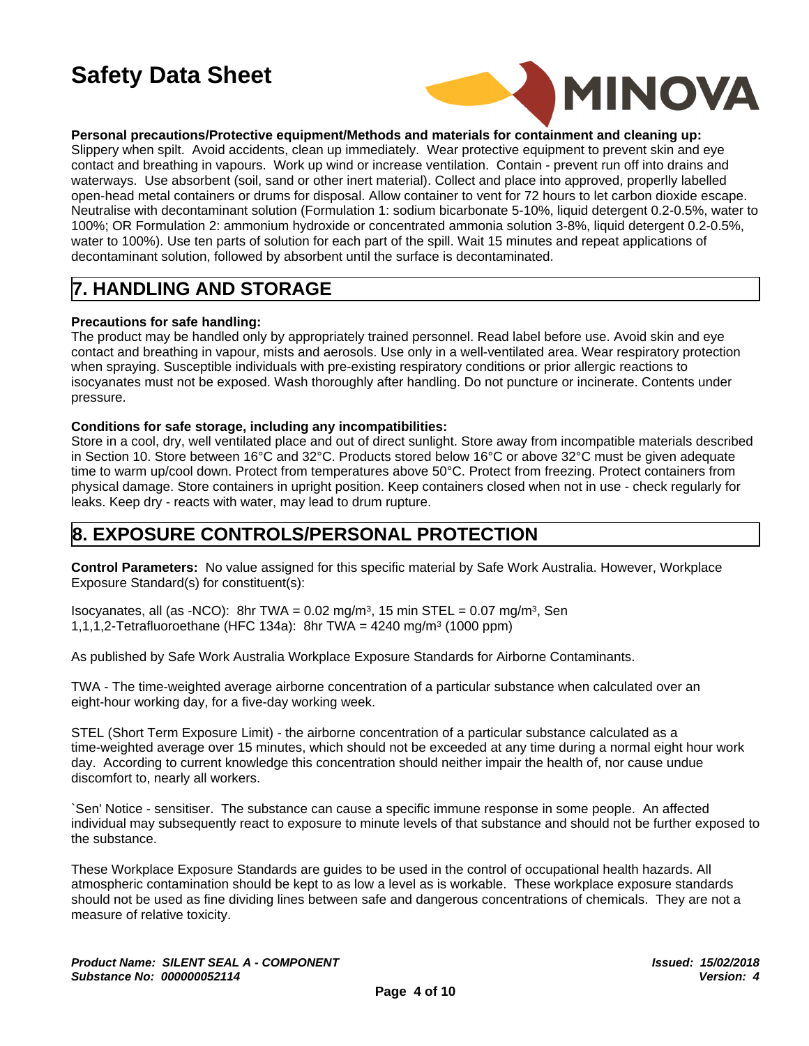

**Personal precautions/Protective equipment/Methods and materials for containment and cleaning up:**

Slippery when spilt. Avoid accidents, clean up immediately. Wear protective equipment to prevent skin and eye contact and breathing in vapours. Work up wind or increase ventilation. Contain - prevent run off into drains and waterways. Use absorbent (soil, sand or other inert material). Collect and place into approved, properlly labelled open-head metal containers or drums for disposal. Allow container to vent for 72 hours to let carbon dioxide escape. Neutralise with decontaminant solution (Formulation 1: sodium bicarbonate 5-10%, liquid detergent 0.2-0.5%, water to 100%; OR Formulation 2: ammonium hydroxide or concentrated ammonia solution 3-8%, liquid detergent 0.2-0.5%, water to 100%). Use ten parts of solution for each part of the spill. Wait 15 minutes and repeat applications of decontaminant solution, followed by absorbent until the surface is decontaminated.

### **7. HANDLING AND STORAGE**

### **Precautions for safe handling:**

The product may be handled only by appropriately trained personnel. Read label before use. Avoid skin and eye contact and breathing in vapour, mists and aerosols. Use only in a well-ventilated area. Wear respiratory protection when spraying. Susceptible individuals with pre-existing respiratory conditions or prior allergic reactions to isocyanates must not be exposed. Wash thoroughly after handling. Do not puncture or incinerate. Contents under pressure.

#### **Conditions for safe storage, including any incompatibilities:**

Store in a cool, dry, well ventilated place and out of direct sunlight. Store away from incompatible materials described in Section 10.Store between 16°C and 32°C. Products stored below 16°C or above 32°C must be given adequate time to warm up/cool down. Protect from temperatures above 50°C. Protect from freezing. Protect containers from physical damage. Store containers in upright position. Keep containers closed when not in use - check regularly for leaks. Keep dry - reacts with water, may lead to drum rupture.

### **8. EXPOSURE CONTROLS/PERSONAL PROTECTION**

**Control Parameters:** No value assigned for this specific material by Safe Work Australia. However, Workplace Exposure Standard(s) for constituent(s):

Isocyanates, all (as -NCO): 8hr TWA = 0.02 mg/m $^3$ , 15 min STEL = 0.07 mg/m $^3$ , Sen 1,1,1,2-Tetrafluoroethane (HFC 134a): 8hr TWA = 4240 mg/m<sup>3</sup> (1000 ppm)

As published by Safe Work Australia Workplace Exposure Standards for Airborne Contaminants.

TWA - The time-weighted average airborne concentration of a particular substance when calculated over an eight-hour working day, for a five-day working week.

STEL (Short Term Exposure Limit) - the airborne concentration of a particular substance calculated as a time-weighted average over 15 minutes, which should not be exceeded at any time during a normal eight hour work day. According to current knowledge this concentration should neither impair the health of, nor cause undue discomfort to, nearly all workers.

`Sen' Notice - sensitiser. The substance can cause a specific immune response in some people. An affected individual may subsequently react to exposure to minute levels of that substance and should not be further exposed to the substance.

These Workplace Exposure Standards are guides to be used in the control of occupational health hazards. All atmospheric contamination should be kept to as low a level as is workable. These workplace exposure standards should not be used as fine dividing lines between safe and dangerous concentrations of chemicals. They are not a measure of relative toxicity.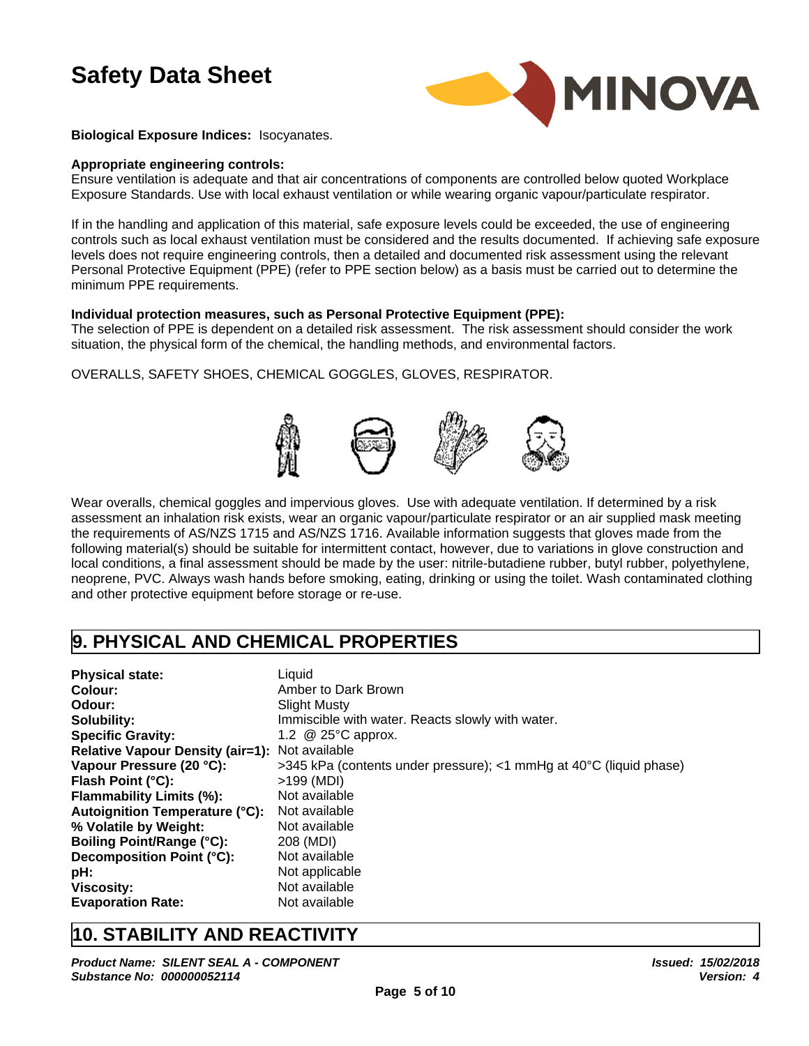

**Biological Exposure Indices:** Isocyanates.

#### **Appropriate engineering controls:**

Ensure ventilation is adequate and that air concentrations of components are controlled below quoted Workplace Exposure Standards. Use with local exhaust ventilation or while wearing organic vapour/particulate respirator.

If in the handling and application of this material, safe exposure levels could be exceeded, the use of engineering controls such as local exhaust ventilation must be considered and the results documented. If achieving safe exposure levels does not require engineering controls, then a detailed and documented risk assessment using the relevant Personal Protective Equipment (PPE) (refer to PPE section below) as a basis must be carried out to determine the minimum PPE requirements.

#### **Individual protection measures, such as Personal Protective Equipment (PPE):**

The selection of PPE is dependent on a detailed risk assessment. The risk assessment should consider the work situation, the physical form of the chemical, the handling methods, and environmental factors.

OVERALLS, SAFETY SHOES, CHEMICAL GOGGLES, GLOVES, RESPIRATOR.



Wear overalls, chemical goggles and impervious gloves. Use with adequate ventilation. If determined by a risk assessment an inhalation risk exists, wear an organic vapour/particulate respirator or an air supplied mask meeting the requirements of AS/NZS 1715 and AS/NZS 1716. Available information suggests that gloves made from the following material(s) should be suitable for intermittent contact, however, due to variations in glove construction and local conditions, a final assessment should be made by the user: nitrile-butadiene rubber, butyl rubber, polyethylene, neoprene, PVC. Always wash hands before smoking, eating, drinking or using the toilet. Wash contaminated clothing and other protective equipment before storage or re-use.

### **9. PHYSICAL AND CHEMICAL PROPERTIES**

| <b>Physical state:</b>                                | Liauid                                                             |
|-------------------------------------------------------|--------------------------------------------------------------------|
| Colour:                                               | Amber to Dark Brown                                                |
| Odour:                                                | <b>Slight Musty</b>                                                |
| Solubility:                                           | Immiscible with water. Reacts slowly with water.                   |
| <b>Specific Gravity:</b>                              | 1.2 $\circledcirc$ 25 $\circ$ C approx.                            |
| <b>Relative Vapour Density (air=1): Not available</b> |                                                                    |
| Vapour Pressure (20 °C):                              | >345 kPa (contents under pressure); <1 mmHg at 40°C (liquid phase) |
| Flash Point (°C):                                     | >199 (MDI)                                                         |
| Flammability Limits (%):                              | Not available                                                      |
| Autoignition Temperature (°C):                        | Not available                                                      |
| % Volatile by Weight:                                 | Not available                                                      |
| Boiling Point/Range (°C):                             | 208 (MDI)                                                          |
| Decomposition Point (°C):                             | Not available                                                      |
| pH:                                                   | Not applicable                                                     |
| <b>Viscosity:</b>                                     | Not available                                                      |
| <b>Evaporation Rate:</b>                              | Not available                                                      |

## **10. STABILITY AND REACTIVITY**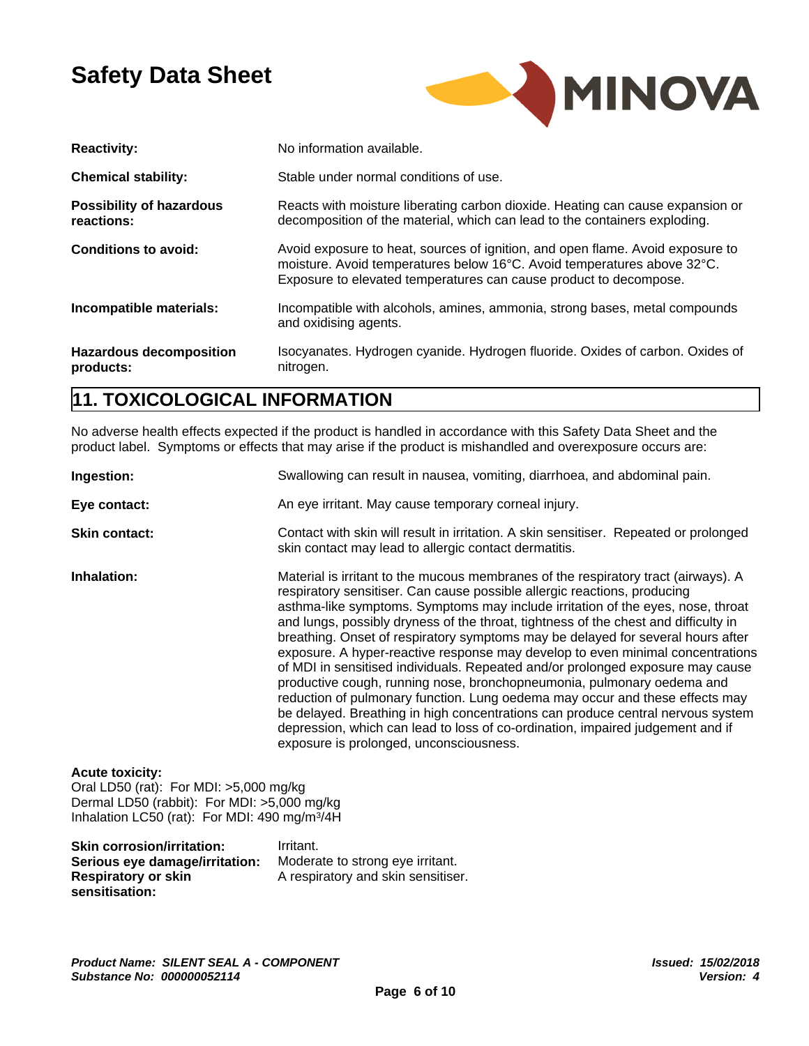

| <b>Reactivity:</b>                            | No information available.                                                                                                                                                                                                      |
|-----------------------------------------------|--------------------------------------------------------------------------------------------------------------------------------------------------------------------------------------------------------------------------------|
| <b>Chemical stability:</b>                    | Stable under normal conditions of use.                                                                                                                                                                                         |
| <b>Possibility of hazardous</b><br>reactions: | Reacts with moisture liberating carbon dioxide. Heating can cause expansion or<br>decomposition of the material, which can lead to the containers exploding.                                                                   |
| <b>Conditions to avoid:</b>                   | Avoid exposure to heat, sources of ignition, and open flame. Avoid exposure to<br>moisture. Avoid temperatures below 16°C. Avoid temperatures above 32°C.<br>Exposure to elevated temperatures can cause product to decompose. |
| Incompatible materials:                       | Incompatible with alcohols, amines, ammonia, strong bases, metal compounds<br>and oxidising agents.                                                                                                                            |
| <b>Hazardous decomposition</b><br>products:   | Isocyanates. Hydrogen cyanide. Hydrogen fluoride. Oxides of carbon. Oxides of<br>nitrogen.                                                                                                                                     |
|                                               |                                                                                                                                                                                                                                |

### **11. TOXICOLOGICAL INFORMATION**

No adverse health effects expected if the product is handled in accordance with this Safety Data Sheet and the product label. Symptoms or effects that may arise if the product is mishandled and overexposure occurs are:

| Ingestion:           | Swallowing can result in nausea, vomiting, diarrhoea, and abdominal pain.                                                                                                                                                                                                                                                                                                                                                                                                                                                                                                                                                                                                                                                                                                                                                                                                                                                                                                 |
|----------------------|---------------------------------------------------------------------------------------------------------------------------------------------------------------------------------------------------------------------------------------------------------------------------------------------------------------------------------------------------------------------------------------------------------------------------------------------------------------------------------------------------------------------------------------------------------------------------------------------------------------------------------------------------------------------------------------------------------------------------------------------------------------------------------------------------------------------------------------------------------------------------------------------------------------------------------------------------------------------------|
| Eye contact:         | An eye irritant. May cause temporary corneal injury.                                                                                                                                                                                                                                                                                                                                                                                                                                                                                                                                                                                                                                                                                                                                                                                                                                                                                                                      |
| <b>Skin contact:</b> | Contact with skin will result in irritation. A skin sensitiser. Repeated or prolonged<br>skin contact may lead to allergic contact dermatitis.                                                                                                                                                                                                                                                                                                                                                                                                                                                                                                                                                                                                                                                                                                                                                                                                                            |
| Inhalation:          | Material is irritant to the mucous membranes of the respiratory tract (airways). A<br>respiratory sensitiser. Can cause possible allergic reactions, producing<br>asthma-like symptoms. Symptoms may include irritation of the eyes, nose, throat<br>and lungs, possibly dryness of the throat, tightness of the chest and difficulty in<br>breathing. Onset of respiratory symptoms may be delayed for several hours after<br>exposure. A hyper-reactive response may develop to even minimal concentrations<br>of MDI in sensitised individuals. Repeated and/or prolonged exposure may cause<br>productive cough, running nose, bronchopneumonia, pulmonary oedema and<br>reduction of pulmonary function. Lung oedema may occur and these effects may<br>be delayed. Breathing in high concentrations can produce central nervous system<br>depression, which can lead to loss of co-ordination, impaired judgement and if<br>exposure is prolonged, unconsciousness. |

#### **Acute toxicity:**

Oral LD50 (rat): For MDI: >5,000 mg/kg Dermal LD50 (rabbit): For MDI: >5,000 mg/kg Inhalation LC50 (rat): For MDI: 490 mg/m<sup>3</sup> /4H

| <b>Skin corrosion/irritation:</b> | Irritant.                          |
|-----------------------------------|------------------------------------|
| Serious eye damage/irritation:    | Moderate to strong eye irritant.   |
| <b>Respiratory or skin</b>        | A respiratory and skin sensitiser. |
| sensitisation:                    |                                    |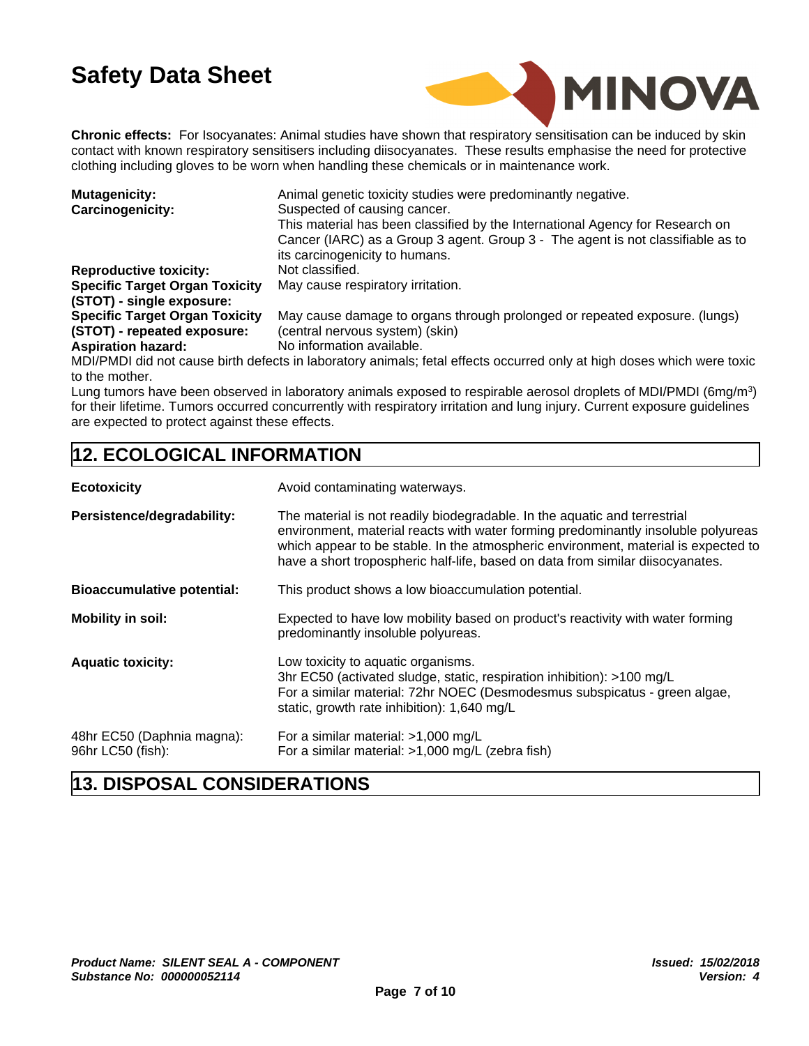

**Chronic effects:** For Isocyanates: Animal studies have shown that respiratory sensitisation can be induced by skin contact with known respiratory sensitisers including diisocyanates. These results emphasise the need for protective clothing including gloves to be worn when handling these chemicals or in maintenance work.

| <b>Mutagenicity:</b>                  | Animal genetic toxicity studies were predominantly negative.                                                           |
|---------------------------------------|------------------------------------------------------------------------------------------------------------------------|
| <b>Carcinogenicity:</b>               | Suspected of causing cancer.                                                                                           |
|                                       | This material has been classified by the International Agency for Research on                                          |
|                                       | Cancer (IARC) as a Group 3 agent. Group 3 - The agent is not classifiable as to                                        |
|                                       | its carcinogenicity to humans.                                                                                         |
| <b>Reproductive toxicity:</b>         | Not classified.                                                                                                        |
| <b>Specific Target Organ Toxicity</b> | May cause respiratory irritation.                                                                                      |
| (STOT) - single exposure:             |                                                                                                                        |
| <b>Specific Target Organ Toxicity</b> | May cause damage to organs through prolonged or repeated exposure. (lungs)                                             |
| (STOT) - repeated exposure:           | (central nervous system) (skin)                                                                                        |
| <b>Aspiration hazard:</b>             | No information available.                                                                                              |
|                                       | MDI/DMDI didaat ooyaa birth dafaata in labaratany qnimalay fatal affaata qoqyrrad only at birth doogo which ware toyiq |

MDI/PMDI did not cause birth defects in laboratory animals; fetal effects occurred only at high doses which were toxic to the mother.

Lung tumors have been observed in laboratory animals exposed to respirable aerosol droplets of MDI/PMDI (6mg/m<sup>3</sup> ) and  $\overline{\phantom{a}}$ for their lifetime. Tumors occurred concurrently with respiratory irritation and lung injury. Current exposure guidelines are expected to protect against these effects.

### **12. ECOLOGICAL INFORMATION**

| <b>Ecotoxicity</b>                              | Avoid contaminating waterways.                                                                                                                                                                                                                                                                                                         |
|-------------------------------------------------|----------------------------------------------------------------------------------------------------------------------------------------------------------------------------------------------------------------------------------------------------------------------------------------------------------------------------------------|
| Persistence/degradability:                      | The material is not readily biodegradable. In the aquatic and terrestrial<br>environment, material reacts with water forming predominantly insoluble polyureas<br>which appear to be stable. In the atmospheric environment, material is expected to<br>have a short tropospheric half-life, based on data from similar diisocyanates. |
| <b>Bioaccumulative potential:</b>               | This product shows a low bioaccumulation potential.                                                                                                                                                                                                                                                                                    |
| <b>Mobility in soil:</b>                        | Expected to have low mobility based on product's reactivity with water forming<br>predominantly insoluble polyureas.                                                                                                                                                                                                                   |
| <b>Aquatic toxicity:</b>                        | Low toxicity to aquatic organisms.<br>3hr EC50 (activated sludge, static, respiration inhibition): >100 mg/L<br>For a similar material: 72hr NOEC (Desmodesmus subspicatus - green algae,<br>static, growth rate inhibition): 1,640 mg/L                                                                                               |
| 48hr EC50 (Daphnia magna):<br>96hr LC50 (fish): | For a similar material: >1,000 mg/L<br>For a similar material: >1,000 mg/L (zebra fish)                                                                                                                                                                                                                                                |

## **13. DISPOSAL CONSIDERATIONS**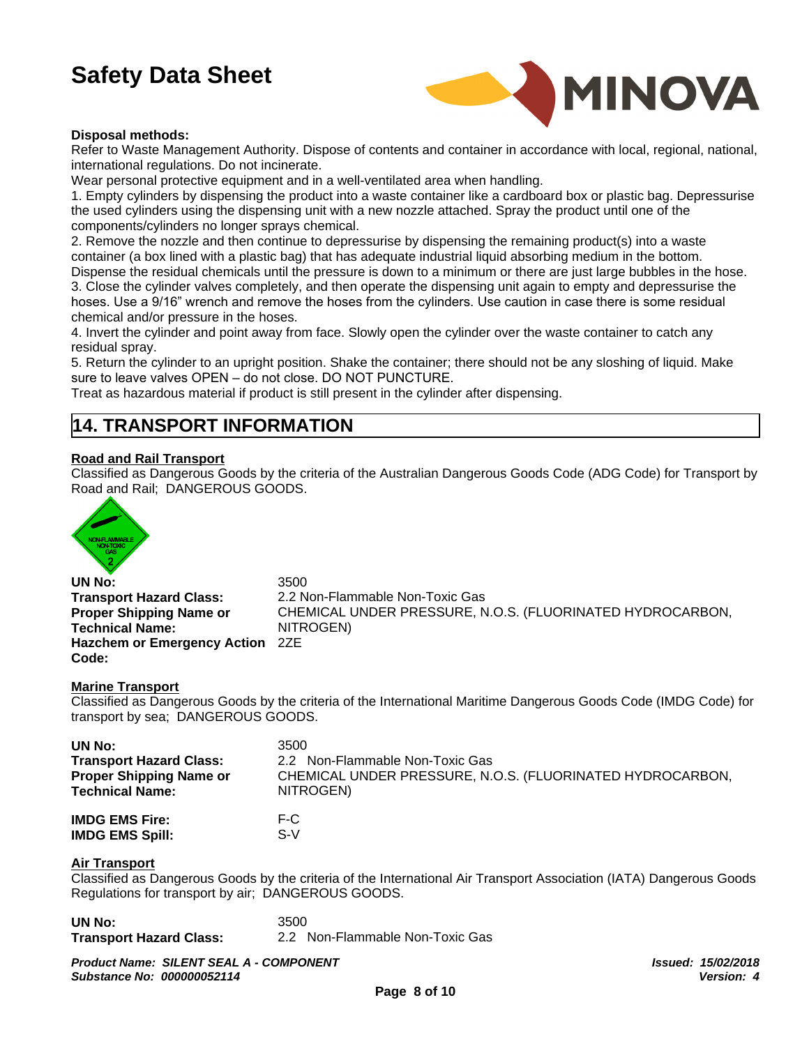

#### **Disposal methods:**

Refer to Waste Management Authority. Dispose of contents and container in accordance with local, regional, national, international regulations. Do not incinerate.

Wear personal protective equipment and in a well-ventilated area when handling.

1. Empty cylinders by dispensing the product into a waste container like a cardboard box or plastic bag. Depressurise the used cylinders using the dispensing unit with a new nozzle attached. Spray the product until one of the components/cylinders no longer sprays chemical.

2. Remove the nozzle and then continue to depressurise by dispensing the remaining product(s) into a waste container (a box lined with a plastic bag) that has adequate industrial liquid absorbing medium in the bottom. Dispense the residual chemicals until the pressure is down to a minimum or there are just large bubbles in the hose. 3. Close the cylinder valves completely, and then operate the dispensing unit again to empty and depressurise the hoses. Use a 9/16" wrench and remove the hoses from the cylinders. Use caution in case there is some residual chemical and/or pressure in the hoses.

4. Invert the cylinder and point away from face. Slowly open the cylinder over the waste container to catch any residual spray.

5. Return the cylinder to an upright position. Shake the container; there should not be any sloshing of liquid. Make sure to leave valves OPEN - do not close. DO NOT PUNCTURE.

Treat as hazardous material if product is still present in the cylinder after dispensing.

### **14. TRANSPORT INFORMATION**

### **Road and Rail Transport**

Classified as Dangerous Goods by the criteria of the Australian Dangerous Goods Code (ADG Code) for Transport by Road and Rail; DANGEROUS GOODS.



**UN No:** 3500 **Transport Hazard Class:** 2.2 Non-Flammable Non-Toxic Gas **Proper Shipping Name or Technical Name:** CHEMICAL UNDER PRESSURE, N.O.S. (FLUORINATED HYDROCARBON, NITROGEN) **Hazchem or Emergency Action** 2ZE **Code:**

#### **Marine Transport**

Classified as Dangerous Goods by the criteria of the International Maritime Dangerous Goods Code (IMDG Code) for transport by sea; DANGEROUS GOODS.

| UN No:                         | 3500.                                                     |
|--------------------------------|-----------------------------------------------------------|
| <b>Transport Hazard Class:</b> | 2.2 Non-Flammable Non-Toxic Gas                           |
| <b>Proper Shipping Name or</b> | CHEMICAL UNDER PRESSURE, N.O.S. (FLUORINATED HYDROCARBON, |
| <b>Technical Name:</b>         | NITROGEN)                                                 |
| <b>IMDG EMS Fire:</b>          | F-C                                                       |
| <b>IMDG EMS Spill:</b>         | S-V                                                       |

#### **Air Transport**

Classified as Dangerous Goods by the criteria of the International Air Transport Association (IATA) Dangerous Goods Regulations for transport by air; DANGEROUS GOODS.

| UN No:                         | 3500                            |
|--------------------------------|---------------------------------|
| <b>Transport Hazard Class:</b> | 2.2 Non-Flammable Non-Toxic Gas |

*Product Name: SILENT SEAL A - COMPONENT Substance No: 000000052114*

*Issued: 15/02/2018 Version: 4*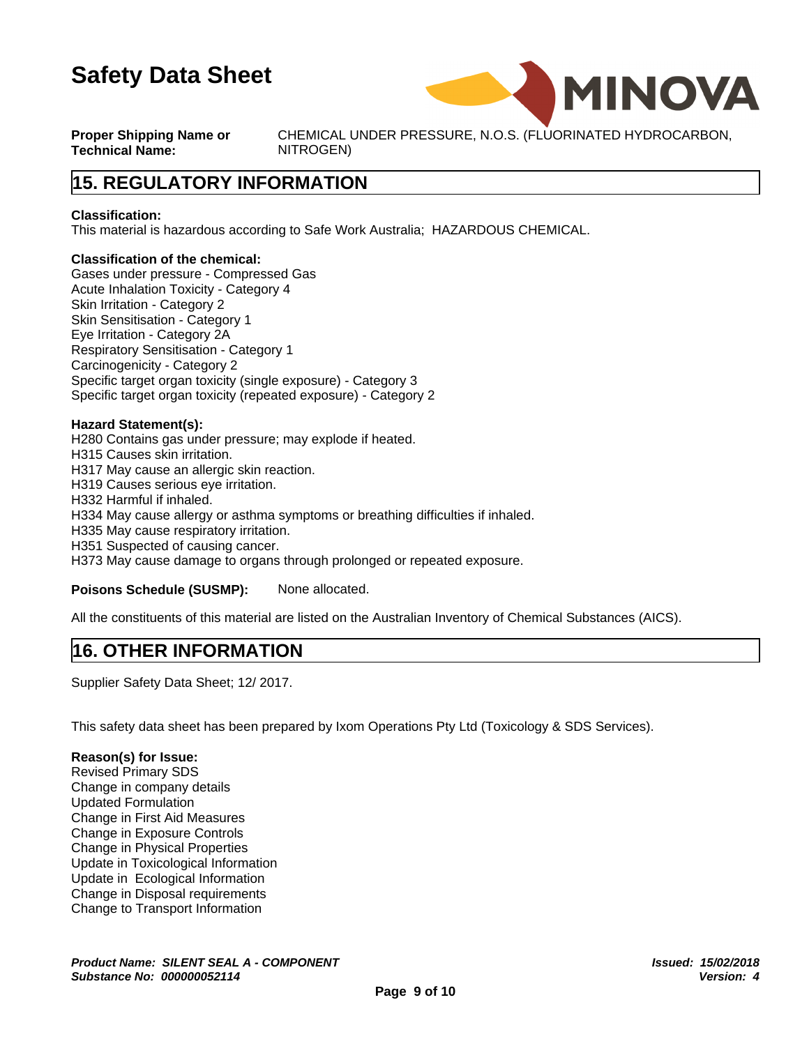

**Proper Shipping Name or Technical Name:**

CHEMICAL UNDER PRESSURE, N.O.S. (FLUORINATED HYDROCARBON, NITROGEN)

### **15. REGULATORY INFORMATION**

#### **Classification:**

This material is hazardous according to Safe Work Australia; HAZARDOUS CHEMICAL.

#### **Classification of the chemical:**

Gases under pressure - Compressed Gas Acute Inhalation Toxicity - Category 4 Skin Irritation - Category 2 Skin Sensitisation - Category 1 Eye Irritation - Category 2A Respiratory Sensitisation - Category 1 Carcinogenicity - Category 2 Specific target organ toxicity (single exposure) - Category 3 Specific target organ toxicity (repeated exposure) - Category 2

#### **Hazard Statement(s):**

H280 Contains gas under pressure; may explode if heated. H315 Causes skin irritation. H317 May cause an allergic skin reaction. H319 Causes serious eye irritation. H332 Harmful if inhaled. H334 May cause allergy or asthma symptoms or breathing difficulties if inhaled. H335 May cause respiratory irritation. H351 Suspected of causing cancer. H373 May cause damage to organs through prolonged or repeated exposure.

#### Poisons Schedule (SUSMP): None allocated.

All the constituents of this material are listed on the Australian Inventory of Chemical Substances (AICS).

### **16. OTHER INFORMATION**

Supplier Safety Data Sheet; 12/ 2017.

This safety data sheet has been prepared by Ixom Operations Pty Ltd (Toxicology & SDS Services).

#### **Reason(s) for Issue:**

Revised Primary SDS Change in company details Updated Formulation Change in First Aid Measures Change in Exposure Controls Change in Physical Properties Update in Toxicological Information Update in Ecological Information Change in Disposal requirements Change to Transport Information